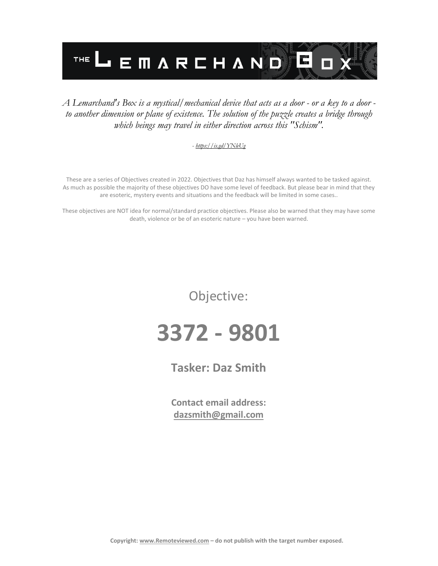

#### *A Lemarchand's Box is a mystical/mechanical device that acts as a door - or a key to a door to another dimension or plane of existence. The solution of the puzzle creates a bridge through which beings may travel in either direction across this "Schism".*

#### *- <https://is.gd/YNleUg>*

These are a series of Objectives created in 2022. Objectives that Daz has himself always wanted to be tasked against. As much as possible the majority of these objectives DO have some level of feedback. But please bear in mind that they are esoteric, mystery events and situations and the feedback will be limited in some cases..

These objectives are NOT idea for normal/standard practice objectives. Please also be warned that they may have some death, violence or be of an esoteric nature – you have been warned.

Objective:

# **3372 - 9801**

### **Tasker: Daz Smith**

**Contact email address: [dazsmith@gmail.com](mailto:dazsmith@gmail.com)**